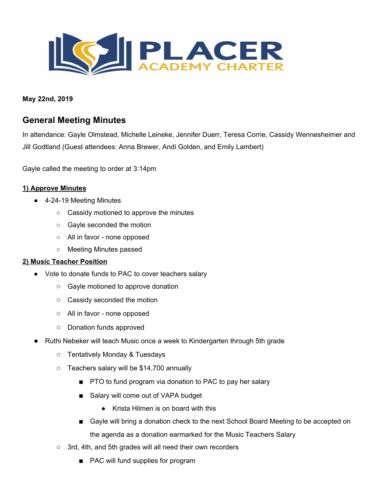

**May 22nd, 2019**

# **General Meeting Minutes**

In attendance: Gayle Olmstead, Michelle Leineke, Jennifer Duerr, Teresa Corrie, Cassidy Wennesheimer and Jill Godtland (Guest attendees: Anna Brewer, Andi Golden, and Emily Lambert)

Gayle called the meeting to order at 3:14pm

#### **1) Approve Minutes**

- 4-24-19 Meeting Minutes
	- Cassidy motioned to approve the minutes
	- Gayle seconded the motion
	- All in favor none opposed
	- Meeting Minutes passed

#### **2) Music Teacher Position**

- Vote to donate funds to PAC to cover teachers salary
	- Gayle motioned to approve donation
	- Cassidy seconded the motion
	- All in favor none opposed
	- Donation funds approved
- Ruthi Nebeker will teach Music once a week to Kindergarten through 5th grade
	- Tentatively Monday & Tuesdays
	- Teachers salary will be \$14,700 annually
		- PTO to fund program via donation to PAC to pay her salary
		- Salary will come out of VAPA budget
			- Krista Hilmen is on board with this
		- Gayle will bring a donation check to the next School Board Meeting to be accepted on the agenda as a donation earmarked for the Music Teachers Salary
	- 3rd, 4th, and 5th grades will all need their own recorders
		- PAC will fund supplies for program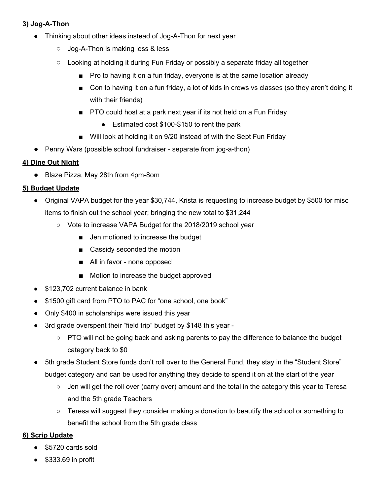# **3) Jog-A-Thon**

- Thinking about other ideas instead of Jog-A-Thon for next year
	- Jog-A-Thon is making less & less
	- Looking at holding it during Fun Friday or possibly a separate friday all together
		- Pro to having it on a fun friday, everyone is at the same location already
		- Con to having it on a fun friday, a lot of kids in crews vs classes (so they aren't doing it with their friends)
		- PTO could host at a park next year if its not held on a Fun Friday
			- Estimated cost \$100-\$150 to rent the park
		- Will look at holding it on 9/20 instead of with the Sept Fun Friday
- Penny Wars (possible school fundraiser separate from jog-a-thon)

## **4) Dine Out Night**

● Blaze Pizza, May 28th from 4pm-8om

# **5) Budget Update**

- Original VAPA budget for the year \$30,744, Krista is requesting to increase budget by \$500 for misc items to finish out the school year; bringing the new total to \$31,244
	- Vote to increase VAPA Budget for the 2018/2019 school year
		- Jen motioned to increase the budget
		- Cassidy seconded the motion
		- All in favor none opposed
		- Motion to increase the budget approved
- \$123,702 current balance in bank
- \$1500 gift card from PTO to PAC for "one school, one book"
- Only \$400 in scholarships were issued this year
- 3rd grade overspent their "field trip" budget by \$148 this year -
	- PTO will not be going back and asking parents to pay the difference to balance the budget category back to \$0
- 5th grade Student Store funds don't roll over to the General Fund, they stay in the "Student Store" budget category and can be used for anything they decide to spend it on at the start of the year
	- Jen will get the roll over (carry over) amount and the total in the category this year to Teresa and the 5th grade Teachers
	- $\circ$  Teresa will suggest they consider making a donation to beautify the school or something to benefit the school from the 5th grade class

# **6) Scrip Update**

- \$5720 cards sold
- \$333.69 in profit